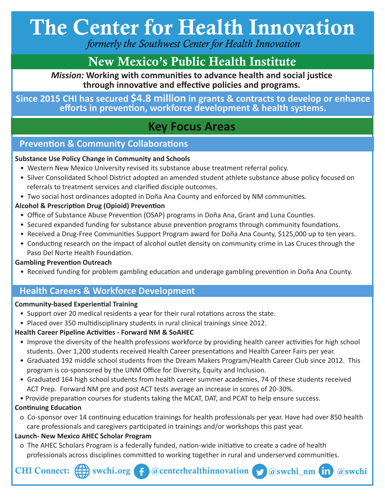# The Center for Health Innovation

 *formerly the Southwest Center for Health Innovation*

### New Mexico's Public Health Institute

*Mission:* **Working with communities to advance health and social justice through innovative and effective policies and programs.**

#### **Since 2015 CHI has secured \$4.8 million in grants & contracts to develop or enhance efforts in prevention, workforce development & health systems.**

### **Key Focus Areas**

#### **Prevention & Community Collaborations**

#### **Substance Use Policy Change in Community and Schools**

- Western New Mexico University revised its substance abuse treatment referral policy.
- Silver Consolidated School District adopted an amended student athlete substance abuse policy focused on referrals to treatment services and clarified disciple outcomes.
- Two social host ordinances adopted in Doña Ana County and enforced by NM communities.

#### **Alcohol & Prescription Drug (Opioid) Prevention**

- Office of Substance Abuse Prevention (OSAP) programs in Doña Ana, Grant and Luna Counties.
- Secured expanded funding for substance abuse prevention programs through community foundations.
- Received a Drug-Free Communities Support Program award for Doña Ana County, \$125,000 up to ten years.
- Conducting research on the impact of alcohol outlet density on community crime in Las Cruces through the Paso Del Norte Health Foundation.

#### **Gambling Prevention Outreach**

• Received funding for problem gambling education and underage gambling prevention in Doña Ana County.

#### **Health Careers & Workforce Development**

#### **Community-based Experiential Training**

- Support over 20 medical residents a year for their rural rotations across the state.
- Placed over 350 multidisciplinary students in rural clinical trainings since 2012.

#### **Health Career Pipeline Activities - Forward NM & SoAHEC**

- Improve the diversity of the health professions workforce by providing health career activities for high school students. Over 1,200 students received Health Career presentations and Health Career Fairs per year.
- Graduated 192 middle school students from the Dream Makers Program/Health Career Club since 2012. This program is co-sponsored by the UNM Office for Diversity, Equity and Inclusion.
- Graduated 164 high school students from health career summer academies, 74 of these students received ACT Prep. Forward NM pre and post ACT tests average an increase in scores of 20-30%.
- Provide preparation courses for students taking the MCAT, DAT, and PCAT to help ensure success.

#### **Continuing Education**

 o Co-sponsor over 14 continuing education trainings for health professionals per year. Have had over 850 health care professionals and caregivers participated in trainings and/or workshops this past year.

#### **Launch- New Mexico AHEC Scholar Program**

 o The AHEC Scholars Program is a federally funded, nation-wide initiative to create a cadre of health professionals across disciplines committed to working together in rural and underserved communities.